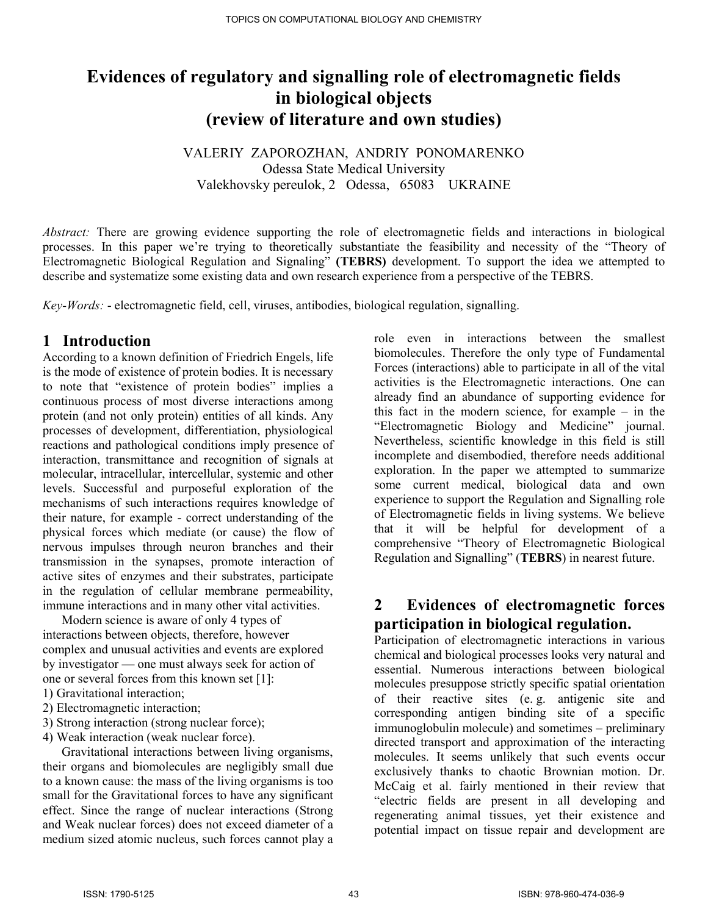# Evidences of regulatory and signalling role of electromagnetic fields in biological objects (review of literature and own studies)

VALERIY ZAPOROZHAN, ANDRIY PONOMARENKO Odessa State Medical University Valekhovsky pereulok, 2 Odessa, 65083 UKRAINE

Abstract: There are growing evidence supporting the role of electromagnetic fields and interactions in biological processes. In this paper we're trying to theoretically substantiate the feasibility and necessity of the "Theory of Electromagnetic Biological Regulation and Signaling" (TEBRS) development. To support the idea we attempted to describe and systematize some existing data and own research experience from a perspective of the TEBRS.

Key-Words: - electromagnetic field, cell, viruses, antibodies, biological regulation, signalling.

### 1 Introduction

According to a known definition of Friedrich Engels, life is the mode of existence of protein bodies. It is necessary to note that "existence of protein bodies" implies a continuous process of most diverse interactions among protein (and not only protein) entities of all kinds. Any processes of development, differentiation, physiological reactions and pathological conditions imply presence of interaction, transmittance and recognition of signals at molecular, intracellular, intercellular, systemic and other levels. Successful and purposeful exploration of the mechanisms of such interactions requires knowledge of their nature, for example - correct understanding of the physical forces which mediate (or cause) the flow of nervous impulses through neuron branches and their transmission in the synapses, promote interaction of active sites of enzymes and their substrates, participate in the regulation of cellular membrane permeability, immune interactions and in many other vital activities.

 Modern science is aware of only 4 types of interactions between objects, therefore, however complex and unusual activities and events are explored by investigator — one must always seek for action of one or several forces from this known set [1]:

- 1) Gravitational interaction;
- 2) Electromagnetic interaction;
- 3) Strong interaction (strong nuclear force);
- 4) Weak interaction (weak nuclear force).

 Gravitational interactions between living organisms, their organs and biomolecules are negligibly small due to a known cause: the mass of the living organisms is too small for the Gravitational forces to have any significant effect. Since the range of nuclear interactions (Strong and Weak nuclear forces) does not exceed diameter of a medium sized atomic nucleus, such forces cannot play a

role even in interactions between the smallest biomolecules. Therefore the only type of Fundamental Forces (interactions) able to participate in all of the vital activities is the Electromagnetic interactions. One can already find an abundance of supporting evidence for this fact in the modern science, for example – in the "Electromagnetic Biology and Medicine" journal. Nevertheless, scientific knowledge in this field is still incomplete and disembodied, therefore needs additional exploration. In the paper we attempted to summarize some current medical, biological data and own experience to support the Regulation and Signalling role of Electromagnetic fields in living systems. We believe that it will be helpful for development of a comprehensive "Theory of Electromagnetic Biological Regulation and Signalling" (TEBRS) in nearest future.

### 2 Evidences of electromagnetic forces participation in biological regulation.

Participation of electromagnetic interactions in various chemical and biological processes looks very natural and essential. Numerous interactions between biological molecules presuppose strictly specific spatial orientation of their reactive sites (e. g. antigenic site and corresponding antigen binding site of a specific immunoglobulin molecule) and sometimes – preliminary directed transport and approximation of the interacting molecules. It seems unlikely that such events occur exclusively thanks to chaotic Brownian motion. Dr. McCaig et al. fairly mentioned in their review that "electric fields are present in all developing and regenerating animal tissues, yet their existence and potential impact on tissue repair and development are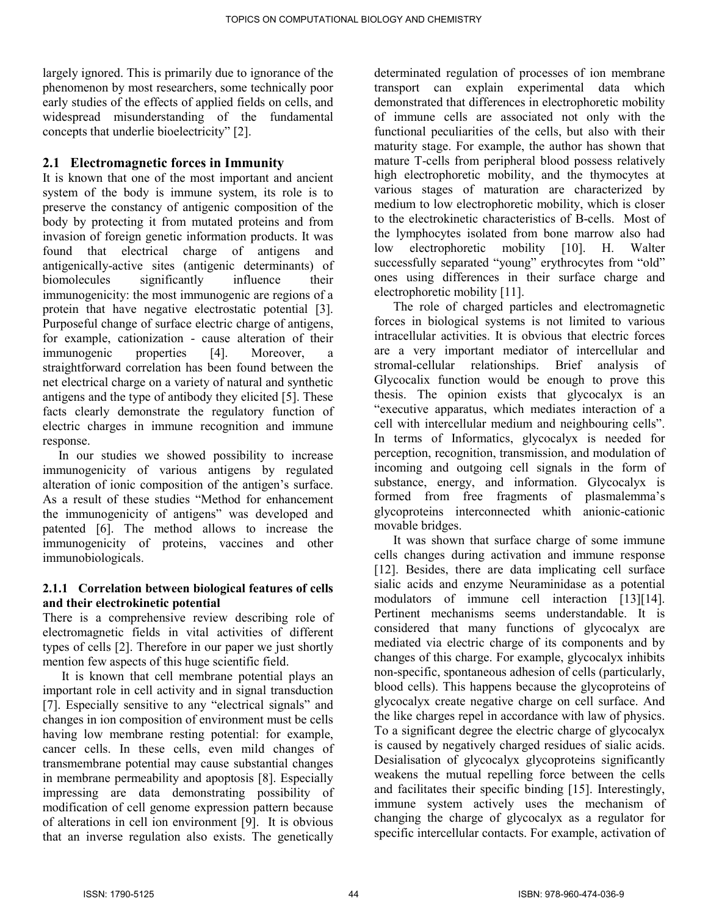largely ignored. This is primarily due to ignorance of the phenomenon by most researchers, some technically poor early studies of the effects of applied fields on cells, and widespread misunderstanding of the fundamental concepts that underlie bioelectricity" [2].

#### 2.1 Electromagnetic forces in Immunity

It is known that one of the most important and ancient system of the body is immune system, its role is to preserve the constancy of antigenic composition of the body by protecting it from mutated proteins and from invasion of foreign genetic information products. It was found that electrical charge of antigens and antigenically-active sites (antigenic determinants) of biomolecules significantly influence their immunogenicity: the most immunogenic are regions of a protein that have negative electrostatic potential [3]. Purposeful change of surface electric charge of antigens, for example, cationization - cause alteration of their immunogenic properties [4]. Moreover, a straightforward correlation has been found between the net electrical charge on a variety of natural and synthetic antigens and the type of antibody they elicited [5]. These facts clearly demonstrate the regulatory function of electric charges in immune recognition and immune response.

 In our studies we showed possibility to increase immunogenicity of various antigens by regulated alteration of ionic composition of the antigen's surface. As a result of these studies "Method for enhancement the immunogenicity of antigens" was developed and patented [6]. The method allows to increase the immunogenicity of proteins, vaccines and other immunobiologicals.

#### 2.1.1 Correlation between biological features of cells and their electrokinetic potential

There is a comprehensive review describing role of electromagnetic fields in vital activities of different types of cells [2]. Therefore in our paper we just shortly mention few aspects of this huge scientific field.

 It is known that cell membrane potential plays an important role in cell activity and in signal transduction [7]. Especially sensitive to any "electrical signals" and changes in ion composition of environment must be cells having low membrane resting potential: for example, cancer cells. In these cells, even mild changes of transmembrane potential may cause substantial changes in membrane permeability and apoptosis [8]. Especially impressing are data demonstrating possibility of modification of cell genome expression pattern because of alterations in cell ion environment [9]. It is obvious that an inverse regulation also exists. The genetically

determinated regulation of processes of ion membrane transport can explain experimental data which demonstrated that differences in electrophoretic mobility of immune cells are associated not only with the functional peculiarities of the cells, but also with their maturity stage. For example, the author has shown that mature T-cells from peripheral blood possess relatively high electrophoretic mobility, and the thymocytes at various stages of maturation are characterized by medium to low electrophoretic mobility, which is closer to the electrokinetic characteristics of B-cells. Most of the lymphocytes isolated from bone marrow also had low electrophoretic mobility [10]. H. Walter successfully separated "young" erythrocytes from "old" ones using differences in their surface charge and electrophoretic mobility [11].

 The role of charged particles and electromagnetic forces in biological systems is not limited to various intracellular activities. It is obvious that electric forces are a very important mediator of intercellular and stromal-cellular relationships. Brief analysis of Glycocalix function would be enough to prove this thesis. The opinion exists that glycocalyx is an "executive apparatus, which mediates interaction of a cell with intercellular medium and neighbouring cells". In terms of Informatics, glycocalyx is needed for perception, recognition, transmission, and modulation of incoming and outgoing cell signals in the form of substance, energy, and information. Glycocalyx is formed from free fragments of plasmalemma's glycoproteins interconnected whith anionic-cationic movable bridges.

 It was shown that surface charge of some immune cells changes during activation and immune response [12]. Besides, there are data implicating cell surface sialic acids and enzyme Neuraminidase as a potential modulators of immune cell interaction [13][14]. Pertinent mechanisms seems understandable. It is considered that many functions of glycocalyx are mediated via electric charge of its components and by changes of this charge. For example, glycocalyx inhibits non-specific, spontaneous adhesion of cells (particularly, blood cells). This happens because the glycoproteins of glycocalyx create negative charge on cell surface. And the like charges repel in accordance with law of physics. To a significant degree the electric charge of glycocalyx is caused by negatively charged residues of sialic acids. Desialisation of glycocalyx glycoproteins significantly weakens the mutual repelling force between the cells and facilitates their specific binding [15]. Interestingly, immune system actively uses the mechanism of changing the charge of glycocalyx as a regulator for specific intercellular contacts. For example, activation of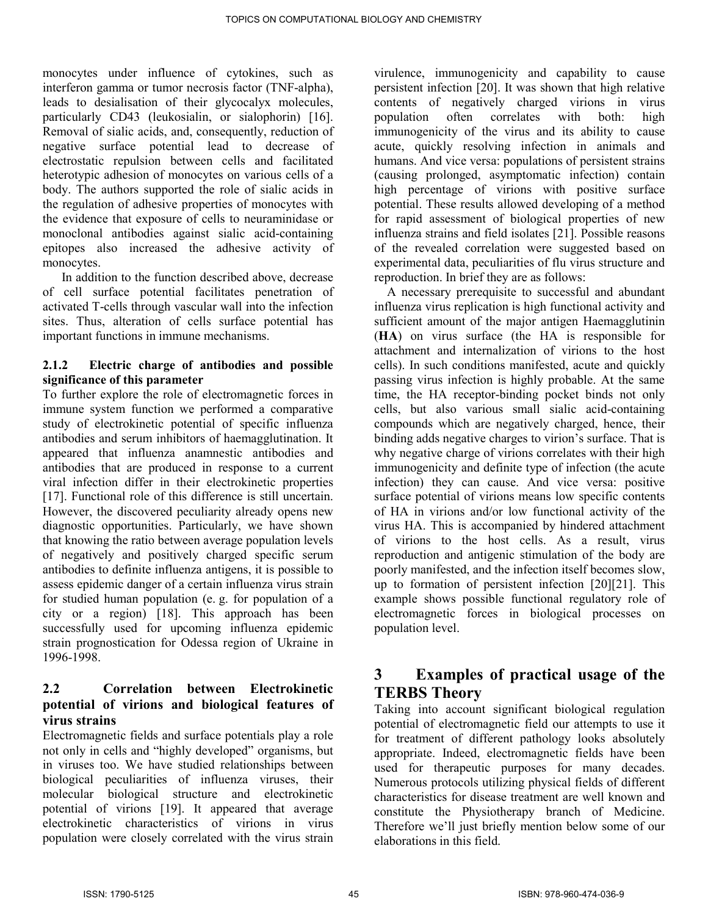monocytes under influence of cytokines, such as interferon gamma or tumor necrosis factor (TNF-alpha), leads to desialisation of their glycocalyx molecules, particularly CD43 (leukosialin, or sialophorin) [16]. Removal of sialic acids, and, consequently, reduction of negative surface potential lead to decrease of electrostatic repulsion between cells and facilitated heterotypic adhesion of monocytes on various cells of a body. The authors supported the role of sialic acids in the regulation of adhesive properties of monocytes with the evidence that exposure of cells to neuraminidase or monoclonal antibodies against sialic acid-containing epitopes also increased the adhesive activity of monocytes.

 In addition to the function described above, decrease of cell surface potential facilitates penetration of activated T-cells through vascular wall into the infection sites. Thus, alteration of cells surface potential has important functions in immune mechanisms.

#### 2.1.2 Electric charge of antibodies and possible significance of this parameter

To further explore the role of electromagnetic forces in immune system function we performed a comparative study of electrokinetic potential of specific influenza antibodies and serum inhibitors of haemagglutination. It appeared that influenza anamnestic antibodies and antibodies that are produced in response to a current viral infection differ in their electrokinetic properties [17]. Functional role of this difference is still uncertain. However, the discovered peculiarity already opens new diagnostic opportunities. Particularly, we have shown that knowing the ratio between average population levels of negatively and positively charged specific serum antibodies to definite influenza antigens, it is possible to assess epidemic danger of a certain influenza virus strain for studied human population (e. g. for population of a city or a region) [18]. This approach has been successfully used for upcoming influenza epidemic strain prognostication for Odessa region of Ukraine in 1996-1998.

### 2.2 Correlation between Electrokinetic potential of virions and biological features of virus strains

Electromagnetic fields and surface potentials play a role not only in cells and "highly developed" organisms, but in viruses too. We have studied relationships between biological peculiarities of influenza viruses, their molecular biological structure and electrokinetic potential of virions [19]. It appeared that average electrokinetic characteristics of virions in virus population were closely correlated with the virus strain

virulence, immunogenicity and capability to cause persistent infection [20]. It was shown that high relative contents of negatively charged virions in virus population often correlates with both: high immunogenicity of the virus and its ability to cause acute, quickly resolving infection in animals and humans. And vice versa: populations of persistent strains (causing prolonged, asymptomatic infection) contain high percentage of virions with positive surface potential. These results allowed developing of a method for rapid assessment of biological properties of new influenza strains and field isolates [21]. Possible reasons of the revealed correlation were suggested based on experimental data, peculiarities of flu virus structure and reproduction. In brief they are as follows:

 A necessary prerequisite to successful and abundant influenza virus replication is high functional activity and sufficient amount of the major antigen Haemagglutinin (HA) on virus surface (the HA is responsible for attachment and internalization of virions to the host cells). In such conditions manifested, acute and quickly passing virus infection is highly probable. At the same time, the HA receptor-binding pocket binds not only cells, but also various small sialic acid-containing compounds which are negatively charged, hence, their binding adds negative charges to virion's surface. That is why negative charge of virions correlates with their high immunogenicity and definite type of infection (the acute infection) they can cause. And vice versa: positive surface potential of virions means low specific contents of HA in virions and/or low functional activity of the virus HA. This is accompanied by hindered attachment of virions to the host cells. As a result, virus reproduction and antigenic stimulation of the body are poorly manifested, and the infection itself becomes slow, up to formation of persistent infection [20][21]. This example shows possible functional regulatory role of electromagnetic forces in biological processes on population level.

## 3 Examples of practical usage of the TERBS Theory

Taking into account significant biological regulation potential of electromagnetic field our attempts to use it for treatment of different pathology looks absolutely appropriate. Indeed, electromagnetic fields have been used for therapeutic purposes for many decades. Numerous protocols utilizing physical fields of different characteristics for disease treatment are well known and constitute the Physiotherapy branch of Medicine. Therefore we'll just briefly mention below some of our elaborations in this field.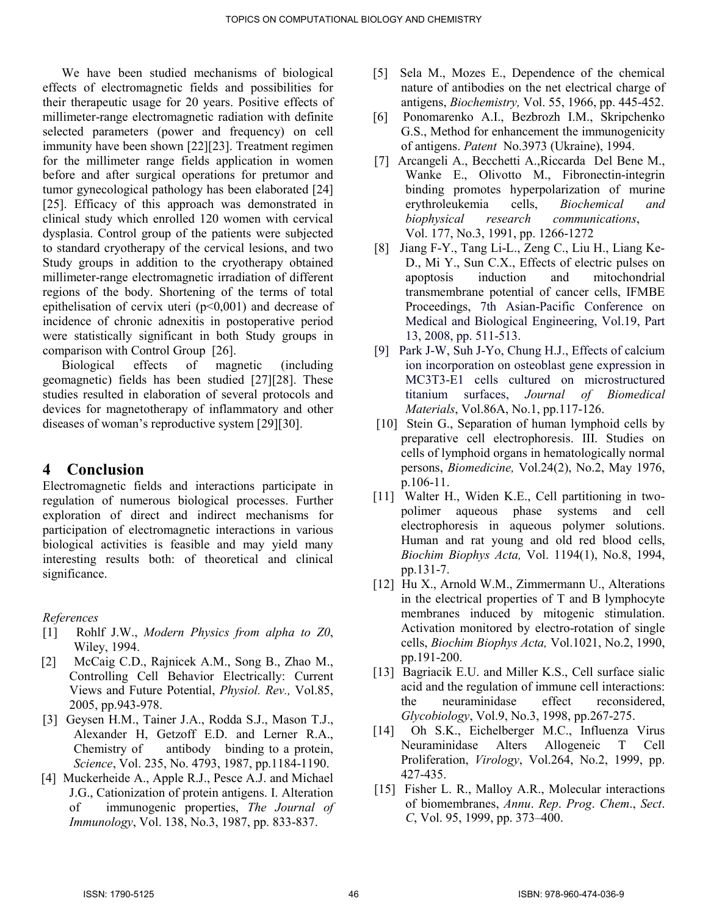We have been studied mechanisms of biological effects of electromagnetic fields and possibilities for their therapeutic usage for 20 years. Positive effects of millimeter-range electromagnetic radiation with definite selected parameters (power and frequency) on cell immunity have been shown [22][23]. Treatment regimen for the millimeter range fields application in women before and after surgical operations for pretumor and tumor gynecological pathology has been elaborated [24] [25]. Efficacy of this approach was demonstrated in clinical study which enrolled 120 women with cervical dysplasia. Control group of the patients were subjected to standard cryotherapy of the cervical lesions, and two Study groups in addition to the cryotherapy obtained millimeter-range electromagnetic irradiation of different regions of the body. Shortening of the terms of total epithelisation of cervix uteri  $(p<0,001)$  and decrease of incidence of chronic adnexitis in postoperative period were statistically significant in both Study groups in comparison with Control Group [26].

 Biological effects of magnetic (including geomagnetic) fields has been studied [27][28]. These studies resulted in elaboration of several protocols and devices for magnetotherapy of inflammatory and other diseases of woman's reproductive system [29][30].

### 4 Conclusion

Electromagnetic fields and interactions participate in regulation of numerous biological processes. Further exploration of direct and indirect mechanisms for participation of electromagnetic interactions in various biological activities is feasible and may yield many interesting results both: of theoretical and clinical significance.

References

- [1] Rohlf J.W., Modern Physics from alpha to Z0, Wiley, 1994.
- [2] McCaig C.D., Rajnicek A.M., Song B., Zhao M., Controlling Cell Behavior Electrically: Current Views and Future Potential, Physiol. Rev., Vol.85, 2005, pp.943-978.
- [3] Geysen H.M., Tainer J.A., Rodda S.J., Mason T.J., Alexander H, Getzoff E.D. and Lerner R.A., Chemistry of antibody binding to a protein, Science, Vol. 235, No. 4793, 1987, pp.1184-1190.
- [4] Muckerheide A., Apple R.J., Pesce A.J. and Michael J.G., Cationization of protein antigens. I. Alteration of immunogenic properties, The Journal of Immunology, Vol. 138, No.3, 1987, pp. 833-837.
- [5] Sela M., Mozes E., Dependence of the chemical nature of antibodies on the net electrical charge of antigens, Biochemistry, Vol. 55, 1966, pp. 445-452.
- [6] Ponomarenko A.I., Bezbrozh I.M., Skripchenko G.S., Method for enhancement the immunogenicity of antigens. Patent No.3973 (Ukraine), 1994.
- [7] Arcangeli A., Becchetti A.,Riccarda Del Bene M., Wanke E., Olivotto M., Fibronectin-integrin binding promotes hyperpolarization of murine erythroleukemia cells, Biochemical and biophysical research communications, Vol. 177, No.3, 1991, pp. 1266-1272
- [8] Jiang F-Y., Tang Li-L., Zeng C., Liu H., Liang Ke-D., Mi Y., Sun C.X., Effects of electric pulses on apoptosis induction and mitochondrial transmembrane potential of cancer cells, IFMBE Proceedings, 7th Asian-Pacific Conference on Medical and Biological Engineering, Vol.19, Part 13, 2008, pp. 511-513.
- [9] Park J-W, Suh J-Yo, Chung H.J., Effects of calcium ion incorporation on osteoblast gene expression in MC3T3-E1 cells cultured on microstructured titanium surfaces, Journal of Biomedical Materials, Vol.86A, No.1, pp.117-126.
- [10] Stein G., Separation of human lymphoid cells by preparative cell electrophoresis. III. Studies on cells of lymphoid organs in hematologically normal persons, Biomedicine, Vol.24(2), No.2, May 1976, p.106-11.
- [11] Walter H., Widen K.E., Cell partitioning in twopolimer aqueous phase systems and cell electrophoresis in aqueous polymer solutions. Human and rat young and old red blood cells, Biochim Biophys Acta, Vol. 1194(1), No.8, 1994, pp.131-7.
- [12] Hu X., Arnold W.M., Zimmermann U., Alterations in the electrical properties of T and B lymphocyte membranes induced by mitogenic stimulation. Activation monitored by electro-rotation of single cells, Biochim Biophys Acta, Vol.1021, No.2, 1990, pp.191-200.
- [13] Bagriacik E.U. and Miller K.S., Cell surface sialic acid and the regulation of immune cell interactions: the neuraminidase effect reconsidered, Glycobiology, Vol.9, No.3, 1998, pp.267-275.
- [14] Oh S.K., Eichelberger M.C., Influenza Virus Neuraminidase Alters Allogeneic T Cell Proliferation, Virology, Vol.264, No.2, 1999, pp. 427-435.
- [15] Fisher L. R., Malloy A.R., Molecular interactions of biomembranes, Annu. Rep. Prog. Chem., Sect. C, Vol. 95, 1999, pp. 373–400.